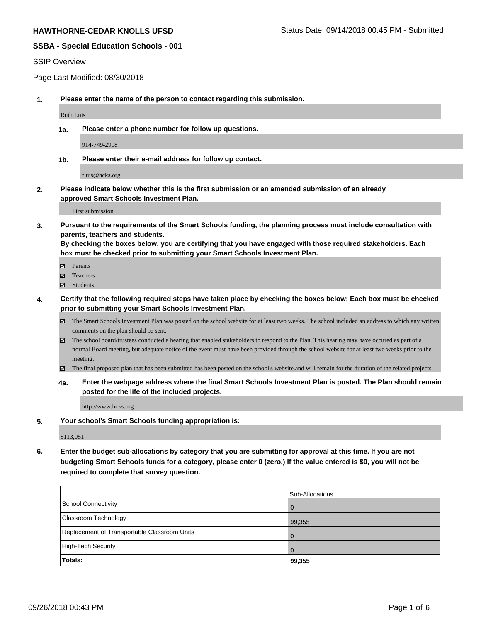#### SSIP Overview

Page Last Modified: 08/30/2018

**1. Please enter the name of the person to contact regarding this submission.**

Ruth Luis

**1a. Please enter a phone number for follow up questions.**

914-749-2908

**1b. Please enter their e-mail address for follow up contact.**

rluis@hcks.org

**2. Please indicate below whether this is the first submission or an amended submission of an already approved Smart Schools Investment Plan.**

First submission

**3. Pursuant to the requirements of the Smart Schools funding, the planning process must include consultation with parents, teachers and students.**

**By checking the boxes below, you are certifying that you have engaged with those required stakeholders. Each box must be checked prior to submitting your Smart Schools Investment Plan.**

- $\blacksquare$  Parents
- Teachers
- Students
- **4. Certify that the following required steps have taken place by checking the boxes below: Each box must be checked prior to submitting your Smart Schools Investment Plan.**
	- $\boxtimes$  The Smart Schools Investment Plan was posted on the school website for at least two weeks. The school included an address to which any written comments on the plan should be sent.
	- $\boxtimes$  The school board/trustees conducted a hearing that enabled stakeholders to respond to the Plan. This hearing may have occured as part of a normal Board meeting, but adequate notice of the event must have been provided through the school website for at least two weeks prior to the meeting.
	- The final proposed plan that has been submitted has been posted on the school's website.and will remain for the duration of the related projects.
	- **4a. Enter the webpage address where the final Smart Schools Investment Plan is posted. The Plan should remain posted for the life of the included projects.**

http://www.hcks.org

**5. Your school's Smart Schools funding appropriation is:**

\$113,051

**6. Enter the budget sub-allocations by category that you are submitting for approval at this time. If you are not budgeting Smart Schools funds for a category, please enter 0 (zero.) If the value entered is \$0, you will not be required to complete that survey question.**

| <b>Totals:</b>                               | - 0<br>99,355   |
|----------------------------------------------|-----------------|
| High-Tech Security                           |                 |
| Replacement of Transportable Classroom Units | <b>O</b>        |
| Classroom Technology                         | 99,355          |
| School Connectivity                          | l O             |
|                                              | Sub-Allocations |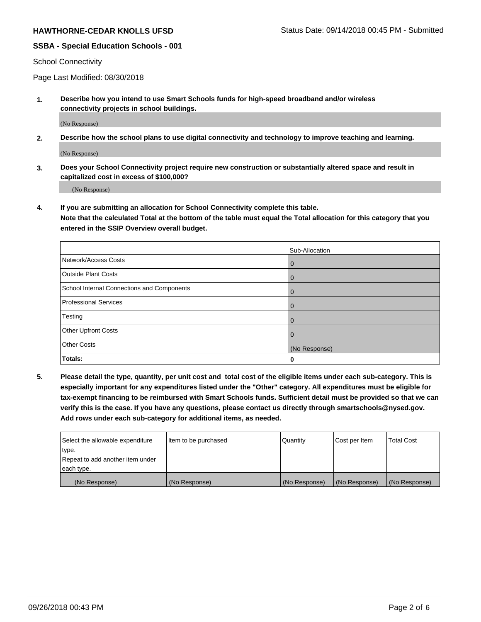#### School Connectivity

Page Last Modified: 08/30/2018

**1. Describe how you intend to use Smart Schools funds for high-speed broadband and/or wireless connectivity projects in school buildings.**

(No Response)

**2. Describe how the school plans to use digital connectivity and technology to improve teaching and learning.**

(No Response)

**3. Does your School Connectivity project require new construction or substantially altered space and result in capitalized cost in excess of \$100,000?**

(No Response)

**4. If you are submitting an allocation for School Connectivity complete this table.**

**Note that the calculated Total at the bottom of the table must equal the Total allocation for this category that you entered in the SSIP Overview overall budget.** 

|                                            | Sub-Allocation |
|--------------------------------------------|----------------|
| Network/Access Costs                       | $\overline{0}$ |
| <b>Outside Plant Costs</b>                 | $\mathbf{0}$   |
| School Internal Connections and Components | $\mathbf{0}$   |
| <b>Professional Services</b>               | $\mathbf{0}$   |
| Testing                                    | $\mathbf{0}$   |
| <b>Other Upfront Costs</b>                 | $\mathbf 0$    |
| <b>Other Costs</b>                         | (No Response)  |
| Totals:                                    | 0              |

**5. Please detail the type, quantity, per unit cost and total cost of the eligible items under each sub-category. This is especially important for any expenditures listed under the "Other" category. All expenditures must be eligible for tax-exempt financing to be reimbursed with Smart Schools funds. Sufficient detail must be provided so that we can verify this is the case. If you have any questions, please contact us directly through smartschools@nysed.gov. Add rows under each sub-category for additional items, as needed.**

| Select the allowable expenditure | Item to be purchased | Quantity      | Cost per Item | Total Cost    |
|----------------------------------|----------------------|---------------|---------------|---------------|
| type.                            |                      |               |               |               |
| Repeat to add another item under |                      |               |               |               |
| each type.                       |                      |               |               |               |
| (No Response)                    | (No Response)        | (No Response) | (No Response) | (No Response) |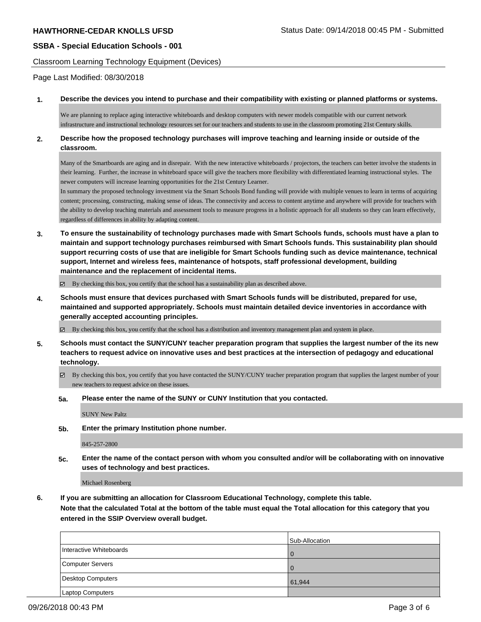Classroom Learning Technology Equipment (Devices)

Page Last Modified: 08/30/2018

#### **1. Describe the devices you intend to purchase and their compatibility with existing or planned platforms or systems.**

We are planning to replace aging interactive whiteboards and desktop computers with newer models compatible with our current network infrastructure and instructional technology resources set for our teachers and students to use in the classroom promoting 21st Century skills.

### **2. Describe how the proposed technology purchases will improve teaching and learning inside or outside of the classroom.**

Many of the Smartboards are aging and in disrepair. With the new interactive whiteboards / projectors, the teachers can better involve the students in their learning. Further, the increase in whiteboard space will give the teachers more flexibility with differentiated learning instructional styles. The newer computers will increase learning opportunities for the 21st Century Learner.

In summary the proposed technology investment via the Smart Schools Bond funding will provide with multiple venues to learn in terms of acquiring content; processing, constructing, making sense of ideas. The connectivity and access to content anytime and anywhere will provide for teachers with the ability to develop teaching materials and assessment tools to measure progress in a holistic approach for all students so they can learn effectively, regardless of differences in ability by adapting content.

**3. To ensure the sustainability of technology purchases made with Smart Schools funds, schools must have a plan to maintain and support technology purchases reimbursed with Smart Schools funds. This sustainability plan should support recurring costs of use that are ineligible for Smart Schools funding such as device maintenance, technical support, Internet and wireless fees, maintenance of hotspots, staff professional development, building maintenance and the replacement of incidental items.**

 $\boxtimes$  By checking this box, you certify that the school has a sustainability plan as described above.

**4. Schools must ensure that devices purchased with Smart Schools funds will be distributed, prepared for use, maintained and supported appropriately. Schools must maintain detailed device inventories in accordance with generally accepted accounting principles.**

 $\boxtimes$  By checking this box, you certify that the school has a distribution and inventory management plan and system in place.

- **5. Schools must contact the SUNY/CUNY teacher preparation program that supplies the largest number of the its new teachers to request advice on innovative uses and best practices at the intersection of pedagogy and educational technology.**
	- $\boxtimes$  By checking this box, you certify that you have contacted the SUNY/CUNY teacher preparation program that supplies the largest number of your new teachers to request advice on these issues.
	- **5a. Please enter the name of the SUNY or CUNY Institution that you contacted.**

SUNY New Paltz

**5b. Enter the primary Institution phone number.**

845-257-2800

**5c. Enter the name of the contact person with whom you consulted and/or will be collaborating with on innovative uses of technology and best practices.**

Michael Rosenberg

**6. If you are submitting an allocation for Classroom Educational Technology, complete this table. Note that the calculated Total at the bottom of the table must equal the Total allocation for this category that you entered in the SSIP Overview overall budget.**

|                         | Sub-Allocation |
|-------------------------|----------------|
| Interactive Whiteboards |                |
| Computer Servers        |                |
| Desktop Computers       | 61,944         |
| Laptop Computers        |                |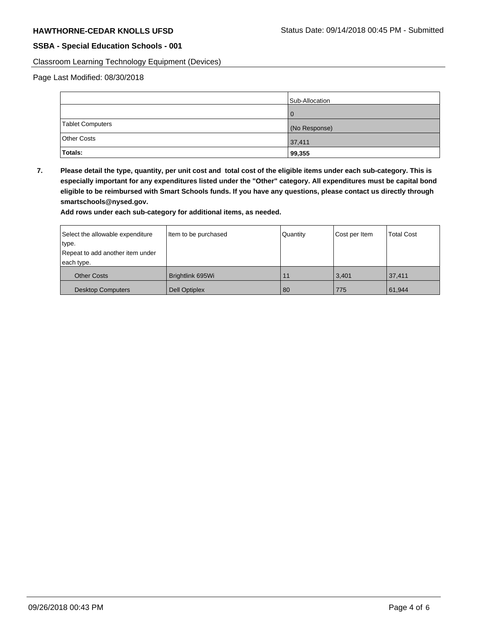Classroom Learning Technology Equipment (Devices)

Page Last Modified: 08/30/2018

|                  | Sub-Allocation |
|------------------|----------------|
|                  | $\Omega$       |
| Tablet Computers | (No Response)  |
| Other Costs      | 37,411         |
| Totals:          | 99,355         |

**7. Please detail the type, quantity, per unit cost and total cost of the eligible items under each sub-category. This is especially important for any expenditures listed under the "Other" category. All expenditures must be capital bond eligible to be reimbursed with Smart Schools funds. If you have any questions, please contact us directly through smartschools@nysed.gov.**

**Add rows under each sub-category for additional items, as needed.**

| Select the allowable expenditure | Item to be purchased | Quantity | Cost per Item | <b>Total Cost</b> |
|----------------------------------|----------------------|----------|---------------|-------------------|
| type.                            |                      |          |               |                   |
| Repeat to add another item under |                      |          |               |                   |
| each type.                       |                      |          |               |                   |
| <b>Other Costs</b>               | Brightlink 695Wi     | 11       | 3,401         | 37,411            |
| <b>Desktop Computers</b>         | <b>Dell Optiplex</b> | 80       | 775           | 61,944            |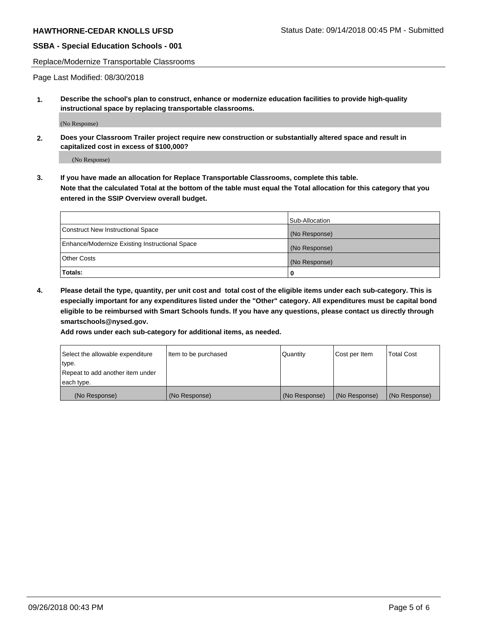Replace/Modernize Transportable Classrooms

Page Last Modified: 08/30/2018

**1. Describe the school's plan to construct, enhance or modernize education facilities to provide high-quality instructional space by replacing transportable classrooms.**

(No Response)

**2. Does your Classroom Trailer project require new construction or substantially altered space and result in capitalized cost in excess of \$100,000?**

(No Response)

**3. If you have made an allocation for Replace Transportable Classrooms, complete this table. Note that the calculated Total at the bottom of the table must equal the Total allocation for this category that you entered in the SSIP Overview overall budget.**

|                                                | Sub-Allocation |
|------------------------------------------------|----------------|
| Construct New Instructional Space              | (No Response)  |
| Enhance/Modernize Existing Instructional Space | (No Response)  |
| Other Costs                                    | (No Response)  |
| Totals:                                        | 0              |

**4. Please detail the type, quantity, per unit cost and total cost of the eligible items under each sub-category. This is especially important for any expenditures listed under the "Other" category. All expenditures must be capital bond eligible to be reimbursed with Smart Schools funds. If you have any questions, please contact us directly through smartschools@nysed.gov.**

**Add rows under each sub-category for additional items, as needed.**

| Select the allowable expenditure | Item to be purchased | Quantity      | Cost per Item | <b>Total Cost</b> |
|----------------------------------|----------------------|---------------|---------------|-------------------|
| type.                            |                      |               |               |                   |
| Repeat to add another item under |                      |               |               |                   |
| each type.                       |                      |               |               |                   |
| (No Response)                    | (No Response)        | (No Response) | (No Response) | (No Response)     |